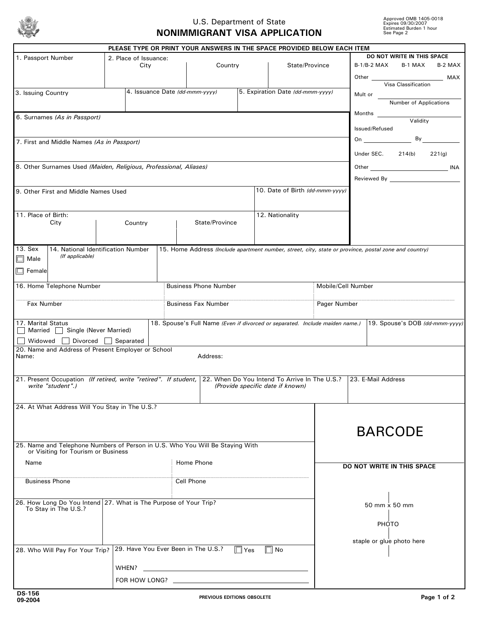

## U.S. Department of State **NONIMMIGRANT VISA APPLICATION**

|                                                                                                                                                                                               |  |                                                            |                              | PLEASE TYPE OR PRINT YOUR ANSWERS IN THE SPACE PROVIDED BELOW EACH ITEM                               |                                                                 |                                  |                    |                            |                                                                                                                                                                                                                                    |                                               |        |  |
|-----------------------------------------------------------------------------------------------------------------------------------------------------------------------------------------------|--|------------------------------------------------------------|------------------------------|-------------------------------------------------------------------------------------------------------|-----------------------------------------------------------------|----------------------------------|--------------------|----------------------------|------------------------------------------------------------------------------------------------------------------------------------------------------------------------------------------------------------------------------------|-----------------------------------------------|--------|--|
| 1. Passport Number                                                                                                                                                                            |  | 2. Place of Issuance:<br>State/Province<br>City<br>Country |                              |                                                                                                       | DO NOT WRITE IN THIS SPACE<br>B-1/B-2 MAX<br>B-1 MAX<br>B-2 MAX |                                  |                    |                            |                                                                                                                                                                                                                                    |                                               |        |  |
|                                                                                                                                                                                               |  |                                                            |                              |                                                                                                       |                                                                 |                                  |                    |                            |                                                                                                                                                                                                                                    |                                               |        |  |
| 3. Issuing Country                                                                                                                                                                            |  |                                                            |                              | 4. Issuance Date (dd-mmm-yyyy)                                                                        |                                                                 | 5. Expiration Date (dd-mmm-yyyy) |                    | Mult or                    |                                                                                                                                                                                                                                    | Visa Classification<br>Number of Applications |        |  |
|                                                                                                                                                                                               |  |                                                            |                              |                                                                                                       |                                                                 |                                  |                    |                            |                                                                                                                                                                                                                                    |                                               |        |  |
| 6. Surnames (As in Passport)                                                                                                                                                                  |  |                                                            |                              |                                                                                                       |                                                                 |                                  |                    |                            | Issued/Refused                                                                                                                                                                                                                     | Validity                                      |        |  |
| 7. First and Middle Names (As in Passport)                                                                                                                                                    |  |                                                            |                              |                                                                                                       |                                                                 |                                  |                    |                            | <b>On Contract Contract Contract Contract Contract Contract Contract Contract Contract Contract Contract Contract Contract Contract Contract Contract Contract Contract Contract Contract Contract Contract Contract Contract </b> |                                               | By     |  |
|                                                                                                                                                                                               |  |                                                            |                              |                                                                                                       |                                                                 |                                  |                    |                            | Under SEC.                                                                                                                                                                                                                         | 214(b)                                        | 221(q) |  |
| 8. Other Surnames Used (Maiden, Religious, Professional, Aliases)                                                                                                                             |  |                                                            |                              |                                                                                                       |                                                                 |                                  |                    |                            |                                                                                                                                                                                                                                    | Other INA<br>Reviewed By <b>Example 20</b>    |        |  |
| 9. Other First and Middle Names Used                                                                                                                                                          |  |                                                            |                              |                                                                                                       |                                                                 | 10. Date of Birth (dd-mmm-yyyy)  |                    |                            |                                                                                                                                                                                                                                    |                                               |        |  |
|                                                                                                                                                                                               |  |                                                            |                              |                                                                                                       |                                                                 |                                  |                    |                            |                                                                                                                                                                                                                                    |                                               |        |  |
| 11. Place of Birth:                                                                                                                                                                           |  |                                                            | State/Province               |                                                                                                       |                                                                 | 12. Nationality                  |                    |                            |                                                                                                                                                                                                                                    |                                               |        |  |
| City                                                                                                                                                                                          |  | Country                                                    |                              |                                                                                                       |                                                                 |                                  |                    |                            |                                                                                                                                                                                                                                    |                                               |        |  |
| 13. Sex<br>14. National Identification Number                                                                                                                                                 |  |                                                            |                              | 15. Home Address (Include apartment number, street, city, state or province, postal zone and country) |                                                                 |                                  |                    |                            |                                                                                                                                                                                                                                    |                                               |        |  |
| (If applicable)<br>$\Box$ Male                                                                                                                                                                |  |                                                            |                              |                                                                                                       |                                                                 |                                  |                    |                            |                                                                                                                                                                                                                                    |                                               |        |  |
| $\Box$ Female                                                                                                                                                                                 |  |                                                            |                              |                                                                                                       |                                                                 |                                  |                    |                            |                                                                                                                                                                                                                                    |                                               |        |  |
| 16. Home Telephone Number                                                                                                                                                                     |  |                                                            | <b>Business Phone Number</b> |                                                                                                       |                                                                 |                                  | Mobile/Cell Number |                            |                                                                                                                                                                                                                                    |                                               |        |  |
| Pager Number<br>Fax Number<br><b>Business Fax Number</b>                                                                                                                                      |  |                                                            |                              |                                                                                                       |                                                                 |                                  |                    |                            |                                                                                                                                                                                                                                    |                                               |        |  |
| 17. Marital Status                                                                                                                                                                            |  |                                                            |                              | 18. Spouse's Full Name (Even if divorced or separated. Include maiden name.)                          |                                                                 |                                  |                    |                            |                                                                                                                                                                                                                                    | 19. Spouse's DOB (dd-mmm-yyyy)                |        |  |
| Married Single (Never Married)<br>Widowed $\Box$ Divorced $\Box$ Separated                                                                                                                    |  |                                                            |                              |                                                                                                       |                                                                 |                                  |                    |                            |                                                                                                                                                                                                                                    |                                               |        |  |
| 20. Name and Address of Present Employer or School<br>Name:                                                                                                                                   |  |                                                            |                              | Address:                                                                                              |                                                                 |                                  |                    |                            |                                                                                                                                                                                                                                    |                                               |        |  |
|                                                                                                                                                                                               |  |                                                            |                              |                                                                                                       |                                                                 |                                  |                    |                            |                                                                                                                                                                                                                                    |                                               |        |  |
| 21. Present Occupation (If retired, write "retired". If student,<br>22. When Do You Intend To Arrive In The U.S.? 23. E-Mail Address<br>write "student".)<br>(Provide specific date if known) |  |                                                            |                              |                                                                                                       |                                                                 |                                  |                    |                            |                                                                                                                                                                                                                                    |                                               |        |  |
|                                                                                                                                                                                               |  |                                                            |                              |                                                                                                       |                                                                 |                                  |                    |                            |                                                                                                                                                                                                                                    |                                               |        |  |
| 24. At What Address Will You Stay in The U.S.?                                                                                                                                                |  |                                                            |                              |                                                                                                       |                                                                 |                                  |                    |                            |                                                                                                                                                                                                                                    |                                               |        |  |
|                                                                                                                                                                                               |  |                                                            |                              |                                                                                                       |                                                                 |                                  |                    |                            |                                                                                                                                                                                                                                    |                                               |        |  |
| 25. Name and Telephone Numbers of Person in U.S. Who You Will Be Staying With                                                                                                                 |  |                                                            |                              |                                                                                                       |                                                                 | <b>BARCODE</b>                   |                    |                            |                                                                                                                                                                                                                                    |                                               |        |  |
| or Visiting for Tourism or Business                                                                                                                                                           |  |                                                            |                              |                                                                                                       |                                                                 |                                  |                    |                            |                                                                                                                                                                                                                                    |                                               |        |  |
| Name                                                                                                                                                                                          |  |                                                            |                              | Home Phone                                                                                            |                                                                 |                                  |                    | DO NOT WRITE IN THIS SPACE |                                                                                                                                                                                                                                    |                                               |        |  |
| <b>Business Phone</b>                                                                                                                                                                         |  |                                                            |                              | Cell Phone                                                                                            |                                                                 |                                  |                    |                            |                                                                                                                                                                                                                                    |                                               |        |  |
| 26. How Long Do You Intend 27. What is The Purpose of Your Trip?                                                                                                                              |  |                                                            |                              |                                                                                                       |                                                                 |                                  |                    |                            |                                                                                                                                                                                                                                    |                                               |        |  |
| To Stay in The U.S.?                                                                                                                                                                          |  |                                                            |                              |                                                                                                       |                                                                 |                                  |                    | 50 mm x 50 mm              |                                                                                                                                                                                                                                    |                                               |        |  |
|                                                                                                                                                                                               |  |                                                            |                              |                                                                                                       |                                                                 |                                  |                    |                            | PHOTO                                                                                                                                                                                                                              |                                               |        |  |
|                                                                                                                                                                                               |  |                                                            |                              |                                                                                                       |                                                                 |                                  |                    |                            |                                                                                                                                                                                                                                    | staple or glue photo here                     |        |  |
| 28. Who Will Pay For Your Trip?                                                                                                                                                               |  |                                                            |                              | 29. Have You Ever Been in The U.S.?                                                                   | $\Box$ Yes                                                      | $\Box$ No                        |                    |                            |                                                                                                                                                                                                                                    |                                               |        |  |
| WHEN?                                                                                                                                                                                         |  |                                                            |                              |                                                                                                       |                                                                 |                                  |                    |                            |                                                                                                                                                                                                                                    |                                               |        |  |
| FOR HOW LONG?                                                                                                                                                                                 |  |                                                            |                              |                                                                                                       |                                                                 |                                  |                    |                            |                                                                                                                                                                                                                                    |                                               |        |  |